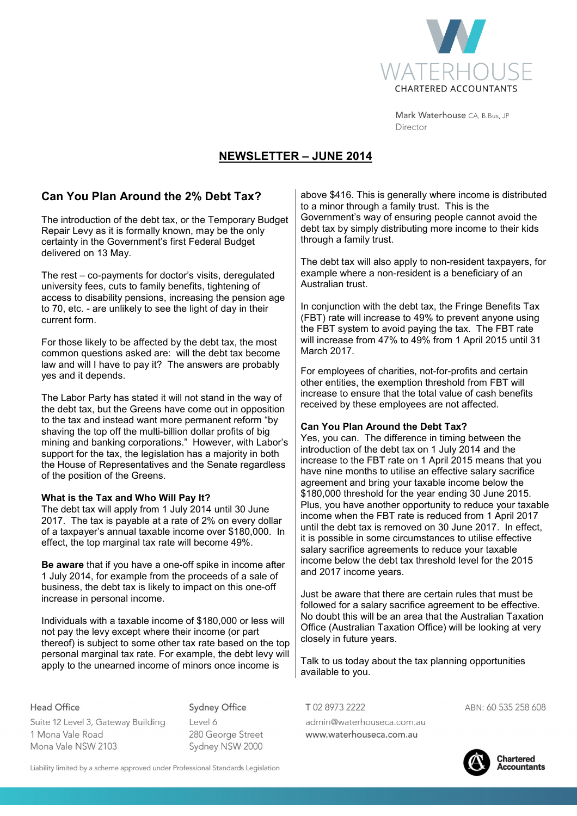

Mark Waterhouse CA, B.Bus, JP Director

# **NEWSLETTER – JUNE 2014**

### **Can You Plan Around the 2% Debt Tax?**

The introduction of the debt tax, or the Temporary Budget Repair Levy as it is formally known, may be the only certainty in the Government's first Federal Budget delivered on 13 May.

The rest – co-payments for doctor's visits, deregulated university fees, cuts to family benefits, tightening of access to disability pensions, increasing the pension age to 70, etc. - are unlikely to see the light of day in their current form.

For those likely to be affected by the debt tax, the most common questions asked are: will the debt tax become law and will I have to pay it? The answers are probably yes and it depends.

The Labor Party has stated it will not stand in the way of the debt tax, but the Greens have come out in opposition to the tax and instead want more permanent reform "by shaving the top off the multi-billion dollar profits of big mining and banking corporations." However, with Labor's support for the tax, the legislation has a majority in both the House of Representatives and the Senate regardless of the position of the Greens.

#### **What is the Tax and Who Will Pay It?**

The debt tax will apply from 1 July 2014 until 30 June 2017. The tax is payable at a rate of 2% on every dollar of a taxpayer's annual taxable income over \$180,000. In effect, the top marginal tax rate will become 49%.

**Be aware** that if you have a one-off spike in income after 1 July 2014, for example from the proceeds of a sale of business, the debt tax is likely to impact on this one-off increase in personal income.

Individuals with a taxable income of \$180,000 or less will not pay the levy except where their income (or part thereof) is subject to some other tax rate based on the top personal marginal tax rate. For example, the debt levy will apply to the unearned income of minors once income is

**Head Office** Suite 12 Level 3, Gateway Building 1 Mona Vale Road Mona Vale NSW 2103

**Sydney Office** 

 $|$  evel 6 280 George Street Sydney NSW 2000

above \$416. This is generally where income is distributed to a minor through a family trust. This is the Government's way of ensuring people cannot avoid the debt tax by simply distributing more income to their kids through a family trust.

The debt tax will also apply to non-resident taxpayers, for example where a non-resident is a beneficiary of an Australian trust.

In conjunction with the debt tax, the Fringe Benefits Tax (FBT) rate will increase to 49% to prevent anyone using the FBT system to avoid paying the tax. The FBT rate will increase from 47% to 49% from 1 April 2015 until 31 March 2017.

For employees of charities, not-for-profits and certain other entities, the exemption threshold from FBT will increase to ensure that the total value of cash benefits received by these employees are not affected.

### **Can You Plan Around the Debt Tax?**

Yes, you can. The difference in timing between the introduction of the debt tax on 1 July 2014 and the increase to the FBT rate on 1 April 2015 means that you have nine months to utilise an effective salary sacrifice agreement and bring your taxable income below the \$180,000 threshold for the year ending 30 June 2015. Plus, you have another opportunity to reduce your taxable income when the FBT rate is reduced from 1 April 2017 until the debt tax is removed on 30 June 2017. In effect, it is possible in some circumstances to utilise effective salary sacrifice agreements to reduce your taxable income below the debt tax threshold level for the 2015 and 2017 income years.

Just be aware that there are certain rules that must be followed for a salary sacrifice agreement to be effective. No doubt this will be an area that the Australian Taxation Office (Australian Taxation Office) will be looking at very closely in future years.

Talk to us today about the tax planning opportunities available to you.

T0289732222

admin@waterhouseca.com.au www.waterhouseca.com.au

ABN: 60 535 258 608



**Chartered Accountants** 

Liability limited by a scheme approved under Professional Standards Legislation